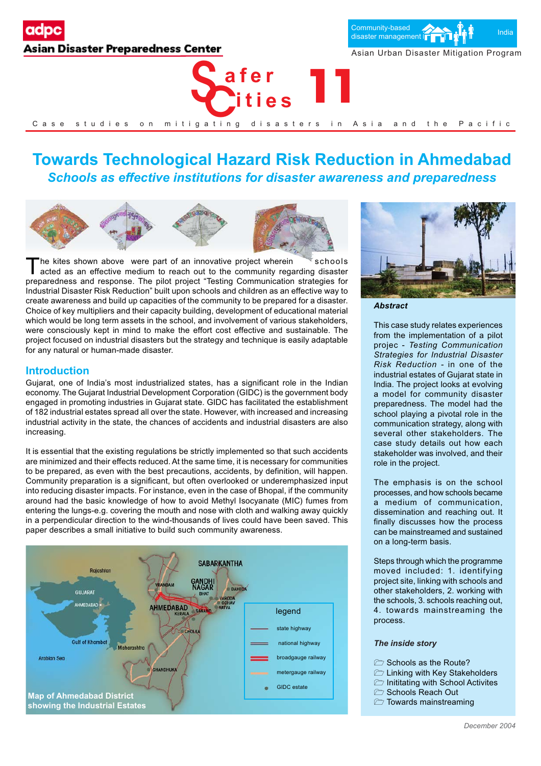# Asian Disaster Preparedness Center





Asian Urban Disaster Mitigation Program

## **Towards Technological Hazard Risk Reduction in Ahmedabad** *Schools as effective institutions for disaster awareness and preparedness*



The kites shown above were part of an innovative project wherein schools acted as an effective medium to reach out to the community regarding disaster preparedness and response. The pilot project "Testing Communication strategies for Industrial Disaster Risk Reduction" built upon schools and children as an effective way to create awareness and build up capacities of the community to be prepared for a disaster. Choice of key multipliers and their capacity building, development of educational material which would be long term assets in the school, and involvement of various stakeholders, were consciously kept in mind to make the effort cost effective and sustainable. The project focused on industrial disasters but the strategy and technique is easily adaptable for any natural or human-made disaster.

## **Introduction**

Gujarat, one of India's most industrialized states, has a significant role in the Indian economy. The Gujarat Industrial Development Corporation (GIDC) is the government body engaged in promoting industries in Gujarat state. GIDC has facilitated the establishment of 182 industrial estates spread all over the state. However, with increased and increasing industrial activity in the state, the chances of accidents and industrial disasters are also increasing.

It is essential that the existing regulations be strictly implemented so that such accidents are minimized and their effects reduced. At the same time, it is necessary for communities to be prepared, as even with the best precautions, accidents, by definition, will happen. Community preparation is a significant, but often overlooked or underemphasized input into reducing disaster impacts. For instance, even in the case of Bhopal, if the community around had the basic knowledge of how to avoid Methyl Isocyanate (MIC) fumes from entering the lungs-e.g. covering the mouth and nose with cloth and walking away quickly in a perpendicular direction to the wind-thousands of lives could have been saved. This paper describes a small initiative to build such community awareness.





*Abstract*

This case study relates experiences from the implementation of a pilot projec - *Testing Communication Strategies for Industrial Disaster Risk Reduction -* in one of the industrial estates of Gujarat state in India. The project looks at evolving a model for community disaster preparedness. The model had the school playing a pivotal role in the communication strategy, along with several other stakeholders. The case study details out how each stakeholder was involved, and their role in the project.

The emphasis is on the school processes, and how schools became a medium of communication, dissemination and reaching out. It finally discusses how the process can be mainstreamed and sustained on a long-term basis.

Steps through which the programme moved included: 1. identifying project site, linking with schools and other stakeholders, 2. working with the schools, 3. schools reaching out, 4. towards mainstreaming the process.

## *The inside story*

- Schools as the Route?
- **E** Linking with Key Stakeholders
- $\triangleright$  Inititating with School Activites
- Schools Reach Out
- $\Box$  Towards mainstreaming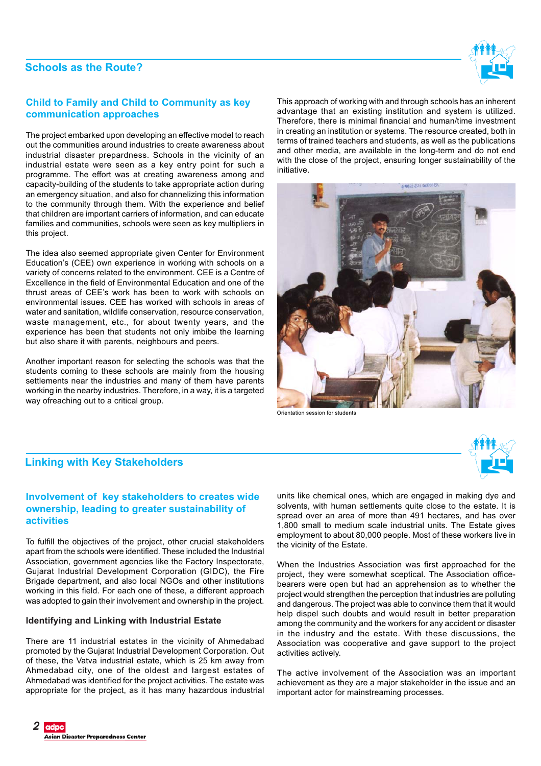## **Schools as the Route?**



## **Child to Family and Child to Community as key communication approaches**

The project embarked upon developing an effective model to reach out the communities around industries to create awareness about industrial disaster prepardness. Schools in the vicinity of an industrial estate were seen as a key entry point for such a programme. The effort was at creating awareness among and capacity-building of the students to take appropriate action during an emergency situation, and also for channelizing this information to the community through them. With the experience and belief that children are important carriers of information, and can educate families and communities, schools were seen as key multipliers in this project.

The idea also seemed appropriate given Center for Environment Education's (CEE) own experience in working with schools on a variety of concerns related to the environment. CEE is a Centre of Excellence in the field of Environmental Education and one of the thrust areas of CEE's work has been to work with schools on environmental issues. CEE has worked with schools in areas of water and sanitation, wildlife conservation, resource conservation, waste management, etc., for about twenty years, and the experience has been that students not only imbibe the learning but also share it with parents, neighbours and peers.

Another important reason for selecting the schools was that the students coming to these schools are mainly from the housing settlements near the industries and many of them have parents working in the nearby industries. Therefore, in a way, it is a targeted way ofreaching out to a critical group.

This approach of working with and through schools has an inherent advantage that an existing institution and system is utilized. Therefore, there is minimal financial and human/time investment in creating an institution or systems. The resource created, both in terms of trained teachers and students, as well as the publications and other media, are available in the long-term and do not end with the close of the project, ensuring longer sustainability of the initiative.



Orientation session for students



## **Linking with Key Stakeholders**

## **Involvement of key stakeholders to creates wide ownership, leading to greater sustainability of activities**

To fulfill the objectives of the project, other crucial stakeholders apart from the schools were identified. These included the Industrial Association, government agencies like the Factory Inspectorate, Gujarat Industrial Development Corporation (GIDC), the Fire Brigade department, and also local NGOs and other institutions working in this field. For each one of these, a different approach was adopted to gain their involvement and ownership in the project.

## **Identifying and Linking with Industrial Estate**

There are 11 industrial estates in the vicinity of Ahmedabad promoted by the Gujarat Industrial Development Corporation. Out of these, the Vatva industrial estate, which is 25 km away from Ahmedabad city, one of the oldest and largest estates of Ahmedabad was identified for the project activities. The estate was appropriate for the project, as it has many hazardous industrial

units like chemical ones, which are engaged in making dye and solvents, with human settlements quite close to the estate. It is spread over an area of more than 491 hectares, and has over 1,800 small to medium scale industrial units. The Estate gives employment to about 80,000 people. Most of these workers live in the vicinity of the Estate.

When the Industries Association was first approached for the project, they were somewhat sceptical. The Association officebearers were open but had an apprehension as to whether the project would strengthen the perception that industries are polluting and dangerous. The project was able to convince them that it would help dispel such doubts and would result in better preparation among the community and the workers for any accident or disaster in the industry and the estate. With these discussions, the Association was cooperative and gave support to the project activities actively.

The active involvement of the Association was an important achievement as they are a major stakeholder in the issue and an important actor for mainstreaming processes.

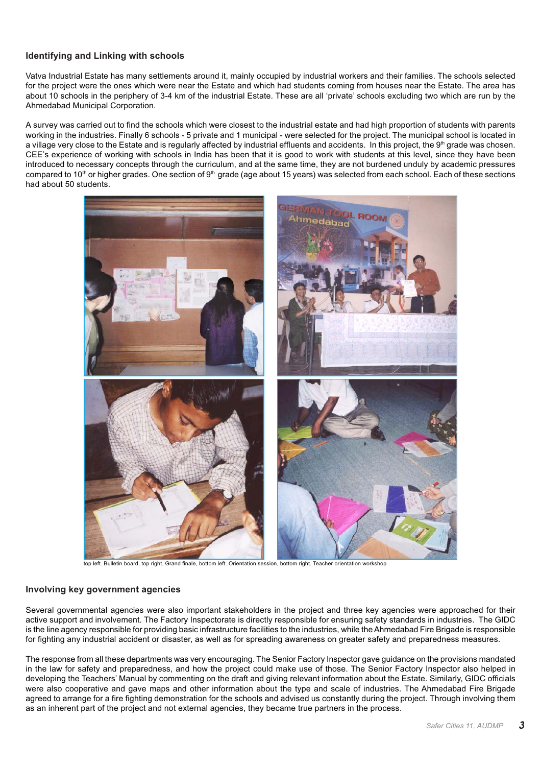## **Identifying and Linking with schools**

Vatva Industrial Estate has many settlements around it, mainly occupied by industrial workers and their families. The schools selected for the project were the ones which were near the Estate and which had students coming from houses near the Estate. The area has about 10 schools in the periphery of 3-4 km of the industrial Estate. These are all 'private' schools excluding two which are run by the Ahmedabad Municipal Corporation.

A survey was carried out to find the schools which were closest to the industrial estate and had high proportion of students with parents working in the industries. Finally 6 schools - 5 private and 1 municipal - were selected for the project. The municipal school is located in a village very close to the Estate and is regularly affected by industrial effluents and accidents. In this project, the 9<sup>th</sup> grade was chosen. CEE's experience of working with schools in India has been that it is good to work with students at this level, since they have been introduced to necessary concepts through the curriculum, and at the same time, they are not burdened unduly by academic pressures compared to 10<sup>th</sup> or higher grades. One section of 9<sup>th</sup> grade (age about 15 years) was selected from each school. Each of these sections had about 50 students.



top left. Bulletin board, top right. Grand finale, bottom left. Orientation session, bottom right. Teacher orientation workshop

## **Involving key government agencies**

Several governmental agencies were also important stakeholders in the project and three key agencies were approached for their active support and involvement. The Factory Inspectorate is directly responsible for ensuring safety standards in industries. The GIDC is the line agency responsible for providing basic infrastructure facilities to the industries, while the Ahmedabad Fire Brigade is responsible for fighting any industrial accident or disaster, as well as for spreading awareness on greater safety and preparedness measures.

The response from all these departments was very encouraging. The Senior Factory Inspector gave guidance on the provisions mandated in the law for safety and preparedness, and how the project could make use of those. The Senior Factory Inspector also helped in developing the Teachers' Manual by commenting on the draft and giving relevant information about the Estate. Similarly, GIDC officials were also cooperative and gave maps and other information about the type and scale of industries. The Ahmedabad Fire Brigade agreed to arrange for a fire fighting demonstration for the schools and advised us constantly during the project. Through involving them as an inherent part of the project and not external agencies, they became true partners in the process.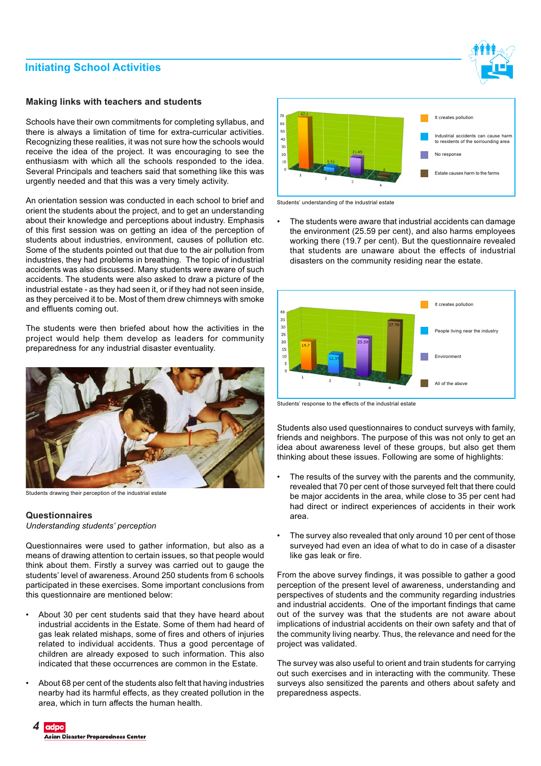## **Initiating School Activities**

## **Making links with teachers and students**

Schools have their own commitments for completing syllabus, and there is always a limitation of time for extra-curricular activities. Recognizing these realities, it was not sure how the schools would receive the idea of the project. It was encouraging to see the enthusiasm with which all the schools responded to the idea. Several Principals and teachers said that something like this was urgently needed and that this was a very timely activity.

An orientation session was conducted in each school to brief and orient the students about the project, and to get an understanding about their knowledge and perceptions about industry. Emphasis of this first session was on getting an idea of the perception of students about industries, environment, causes of pollution etc. Some of the students pointed out that due to the air pollution from industries, they had problems in breathing. The topic of industrial accidents was also discussed. Many students were aware of such accidents. The students were also asked to draw a picture of the industrial estate - as they had seen it, or if they had not seen inside, as they perceived it to be. Most of them drew chimneys with smoke and effluents coming out.

The students were then briefed about how the activities in the project would help them develop as leaders for community preparedness for any industrial disaster eventuality.



Students drawing their perception of the industrial estate

## **Questionnaires**

*Understanding students' perception*

Questionnaires were used to gather information, but also as a means of drawing attention to certain issues, so that people would think about them. Firstly a survey was carried out to gauge the students' level of awareness. Around 250 students from 6 schools participated in these exercises. Some important conclusions from this questionnaire are mentioned below:

- About 30 per cent students said that they have heard about industrial accidents in the Estate. Some of them had heard of gas leak related mishaps, some of fires and others of injuries related to individual accidents. Thus a good percentage of children are already exposed to such information. This also indicated that these occurrences are common in the Estate.
- About 68 per cent of the students also felt that having industries nearby had its harmful effects, as they created pollution in the area, which in turn affects the human health.





Students' understanding of the industrial estate

The students were aware that industrial accidents can damage the environment (25.59 per cent), and also harms employees working there (19.7 per cent). But the questionnaire revealed that students are unaware about the effects of industrial disasters on the community residing near the estate.



Students' response to the effects of the industrial estate

Students also used questionnaires to conduct surveys with family, friends and neighbors. The purpose of this was not only to get an idea about awareness level of these groups, but also get them thinking about these issues. Following are some of highlights:

- The results of the survey with the parents and the community, revealed that 70 per cent of those surveyed felt that there could be major accidents in the area, while close to 35 per cent had had direct or indirect experiences of accidents in their work area.
- The survey also revealed that only around 10 per cent of those surveyed had even an idea of what to do in case of a disaster like gas leak or fire.

From the above survey findings, it was possible to gather a good perception of the present level of awareness, understanding and perspectives of students and the community regarding industries and industrial accidents. One of the important findings that came out of the survey was that the students are not aware about implications of industrial accidents on their own safety and that of the community living nearby. Thus, the relevance and need for the project was validated.

The survey was also useful to orient and train students for carrying out such exercises and in interacting with the community. These surveys also sensitized the parents and others about safety and preparedness aspects.

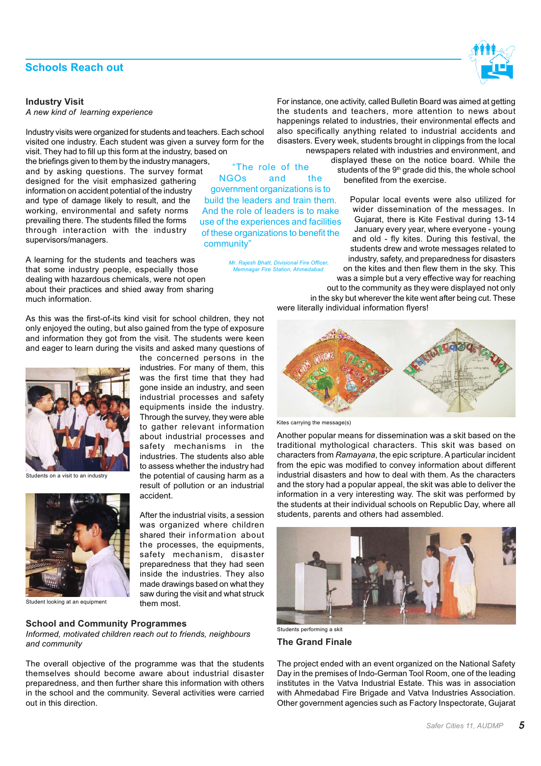## **Schools Reach out**

#### **Industry Visit**

*A new kind of learning experience*

Industry visits were organized for students and teachers. Each school visited one industry. Each student was given a survey form for the visit. They had to fill up this form at the industry, based on the briefings given to them by the industry managers, and by asking questions. The survey format designed for the visit emphasized gathering information on accident potential of the industry and type of damage likely to result, and the working, environmental and safety norms prevailing there. The students filled the forms through interaction with the industry supervisors/managers. "The role of the NGOs and the government organizations is to build the leaders and train them. And the role of leaders is to make use of the experiences and facilities of these organizations to benefit the

A learning for the students and teachers was that some industry people, especially those dealing with hazardous chemicals, were not open about their practices and shied away from sharing much information.

As this was the first-of-its kind visit for school children, they not only enjoyed the outing, but also gained from the type of exposure and information they got from the visit. The students were keen and eager to learn during the visits and asked many questions of

accident.

them most.

the concerned persons in the industries. For many of them, this was the first time that they had gone inside an industry, and seen industrial processes and safety equipments inside the industry. Through the survey, they were able to gather relevant information about industrial processes and safety mechanisms in the industries. The students also able to assess whether the industry had the potential of causing harm as a result of pollution or an industrial

community"

 *Mr. Rajesh Bhatt, Divisional Fire Officer, Memnagar Fire Station, Ahmedabad*

After the industrial visits, a session was organized where children shared their information about the processes, the equipments, safety mechanism, disaster preparedness that they had seen inside the industries. They also made drawings based on what they saw during the visit and what struck



Students on a visit to an industry



Student looking at an equipment

## **School and Community Programmes**

*Informed, motivated children reach out to friends, neighbours and community*

The overall objective of the programme was that the students themselves should become aware about industrial disaster preparedness, and then further share this information with others in the school and the community. Several activities were carried out in this direction.

For instance, one activity, called Bulletin Board was aimed at getting the students and teachers, more attention to news about happenings related to industries, their environmental effects and also specifically anything related to industrial accidents and disasters. Every week, students brought in clippings from the local newspapers related with industries and environment, and

displayed these on the notice board. While the students of the 9<sup>th</sup> grade did this, the whole school benefited from the exercise.

Popular local events were also utilized for wider dissemination of the messages. In Gujarat, there is Kite Festival during 13-14 January every year, where everyone - young and old - fly kites. During this festival, the students drew and wrote messages related to industry, safety, and preparedness for disasters on the kites and then flew them in the sky. This was a simple but a very effective way for reaching

out to the community as they were displayed not only in the sky but wherever the kite went after being cut. These were literally individual information flyers!



Kites carrying the message(s)

Another popular means for dissemination was a skit based on the traditional mythological characters. This skit was based on characters from *Ramayana*, the epic scripture. A particular incident from the epic was modified to convey information about different industrial disasters and how to deal with them. As the characters and the story had a popular appeal, the skit was able to deliver the information in a very interesting way. The skit was performed by the students at their individual schools on Republic Day, where all students, parents and others had assembled.



Students performing a skit

**The Grand Finale**

The project ended with an event organized on the National Safety Day in the premises of Indo-German Tool Room, one of the leading institutes in the Vatva Industrial Estate. This was in association with Ahmedabad Fire Brigade and Vatva Industries Association. Other government agencies such as Factory Inspectorate, Gujarat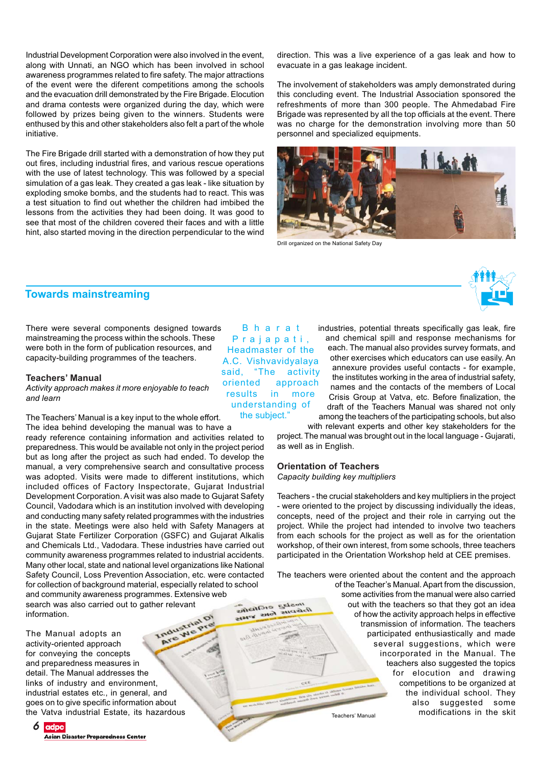Industrial Development Corporation were also involved in the event, along with Unnati, an NGO which has been involved in school awareness programmes related to fire safety. The major attractions of the event were the diferent competitions among the schools and the evacuation drill demonstrated by the Fire Brigade. Elocution and drama contests were organized during the day, which were followed by prizes being given to the winners. Students were enthused by this and other stakeholders also felt a part of the whole initiative.

The Fire Brigade drill started with a demonstration of how they put out fires, including industrial fires, and various rescue operations with the use of latest technology. This was followed by a special simulation of a gas leak. They created a gas leak - like situation by exploding smoke bombs, and the students had to react. This was a test situation to find out whether the children had imbibed the lessons from the activities they had been doing. It was good to see that most of the children covered their faces and with a little hint, also started moving in the direction perpendicular to the wind

direction. This was a live experience of a gas leak and how to evacuate in a gas leakage incident.

The involvement of stakeholders was amply demonstrated during this concluding event. The Industrial Association sponsored the refreshments of more than 300 people. The Ahmedabad Fire Brigade was represented by all the top officials at the event. There was no charge for the demonstration involving more than 50 personnel and specialized equipments.



Drill organized on the National Safety Day

## **Towards mainstreaming**

There were several components designed towards mainstreaming the process within the schools. These were both in the form of publication resources, and capacity-building programmes of the teachers.

#### **Teachers' Manual**

*Activity approach makes it more enjoyable to teach and learn*

The Teachers' Manual is a key input to the whole effort. The idea behind developing the manual was to have a

ready reference containing information and activities related to preparedness. This would be available not only in the project period but as long after the project as such had ended. To develop the manual, a very comprehensive search and consultative process was adopted. Visits were made to different institutions, which included offices of Factory Inspectorate, Gujarat Industrial Development Corporation. A visit was also made to Gujarat Safety Council, Vadodara which is an institution involved with developing and conducting many safety related programmes with the industries in the state. Meetings were also held with Safety Managers at Gujarat State Fertilizer Corporation (GSFC) and Gujarat Alkalis and Chemicals Ltd., Vadodara. These industries have carried out community awareness programmes related to industrial accidents. Many other local, state and national level organizations like National Safety Council, Loss Prevention Association, etc. were contacted for collection of background material, especially related to school and community awareness programmes. Extensive web mostag eichniffe search was also carried out to gather relevant **SHAR** SHOT information.

The Manual adopts an activity-oriented approach for conveying the concepts and preparedness measures in detail. The Manual addresses the links of industry and environment, industrial estates etc., in general, and goes on to give specific information about the Vatva industrial Estate, its hazardous

**6** adpc Asian Disaster Preparedness Center

**B** h a r a t Prajapati, Headmaster of the A.C. Vishvavidyalaya said, "The activity oriented approach results in more understanding of the subject."

industries, potential threats specifically gas leak, fire and chemical spill and response mechanisms for each. The manual also provides survey formats, and other exercises which educators can use easily. An annexure provides useful contacts - for example, the institutes working in the area of industrial safety, names and the contacts of the members of Local Crisis Group at Vatva, etc. Before finalization, the draft of the Teachers Manual was shared not only among the teachers of the participating schools, but also

with relevant experts and other key stakeholders for the project. The manual was brought out in the local language - Gujarati, as well as in English.

## **Orientation of Teachers**

suggen

*Capacity building key multipliers*

Teachers - the crucial stakeholders and key multipliers in the project - were oriented to the project by discussing individually the ideas, concepts, need of the project and their role in carrying out the project. While the project had intended to involve two teachers from each schools for the project as well as for the orientation workshop, of their own interest, from some schools, three teachers participated in the Orientation Workshop held at CEE premises.

The teachers were oriented about the content and the approach

of the Teacher's Manual. Apart from the discussion, some activities from the manual were also carried out with the teachers so that they got an idea of how the activity approach helps in effective transmission of information. The teachers participated enthusiastically and made several suggestions, which were incorporated in the Manual. The teachers also suggested the topics for elocution and drawing competitions to be organized at the individual school. They also suggested some modifications in the skit Teachers' Manual

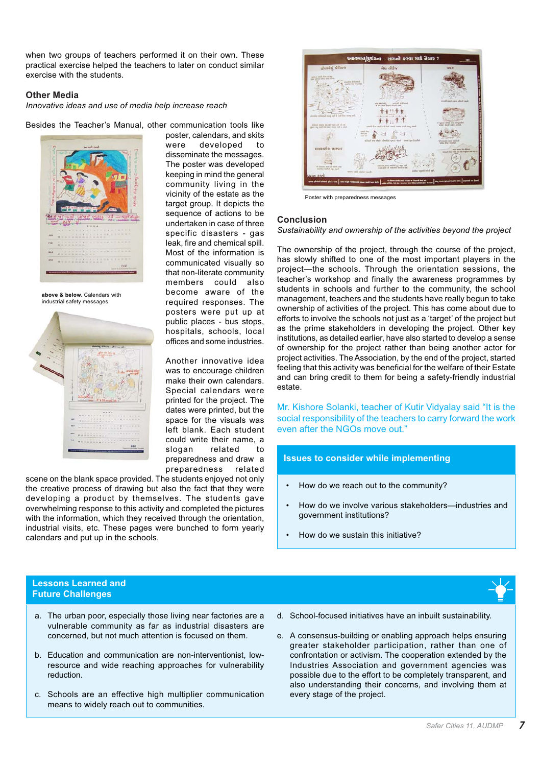when two groups of teachers performed it on their own. These practical exercise helped the teachers to later on conduct similar exercise with the students.

## **Other Media**

*Innovative ideas and use of media help increase reach*

Besides the Teacher's Manual, other communication tools like



**above & below.** Calendars with industrial safety messages



poster, calendars, and skits were developed to disseminate the messages. The poster was developed keeping in mind the general community living in the vicinity of the estate as the target group. It depicts the sequence of actions to be undertaken in case of three specific disasters - gas leak, fire and chemical spill. Most of the information is communicated visually so that non-literate community members could also become aware of the required responses. The posters were put up at public places - bus stops, hospitals, schools, local offices and some industries.

Another innovative idea was to encourage children make their own calendars. Special calendars were printed for the project. The dates were printed, but the space for the visuals was left blank. Each student could write their name, a slogan related to preparedness and draw a preparedness related

scene on the blank space provided. The students enjoyed not only the creative process of drawing but also the fact that they were developing a product by themselves. The students gave overwhelming response to this activity and completed the pictures with the information, which they received through the orientation, industrial visits, etc. These pages were bunched to form yearly calendars and put up in the schools.



Poster with preparedness messages

## **Conclusion**

*Sustainability and ownership of the activities beyond the project*

The ownership of the project, through the course of the project, has slowly shifted to one of the most important players in the project—the schools. Through the orientation sessions, the teacher's workshop and finally the awareness programmes by students in schools and further to the community, the school management, teachers and the students have really begun to take ownership of activities of the project. This has come about due to efforts to involve the schools not just as a 'target' of the project but as the prime stakeholders in developing the project. Other key institutions, as detailed earlier, have also started to develop a sense of ownership for the project rather than being another actor for project activities. The Association, by the end of the project, started feeling that this activity was beneficial for the welfare of their Estate and can bring credit to them for being a safety-friendly industrial estate.

Mr. Kishore Solanki, teacher of Kutir Vidyalay said "It is the social responsibility of the teachers to carry forward the work even after the NGOs move out."

## **Issues to consider while implementing**

- How do we reach out to the community?
- How do we involve various stakeholders—industries and government institutions?
- How do we sustain this initiative?



## **Lessons Learned and Future Challenges**

- a. The urban poor, especially those living near factories are a vulnerable community as far as industrial disasters are concerned, but not much attention is focused on them.
- b. Education and communication are non-interventionist, lowresource and wide reaching approaches for vulnerability reduction.
- c. Schools are an effective high multiplier communication means to widely reach out to communities.
- d. School-focused initiatives have an inbuilt sustainability.
- e. A consensus-building or enabling approach helps ensuring greater stakeholder participation, rather than one of confrontation or activism. The cooperation extended by the Industries Association and government agencies was possible due to the effort to be completely transparent, and also understanding their concerns, and involving them at every stage of the project.